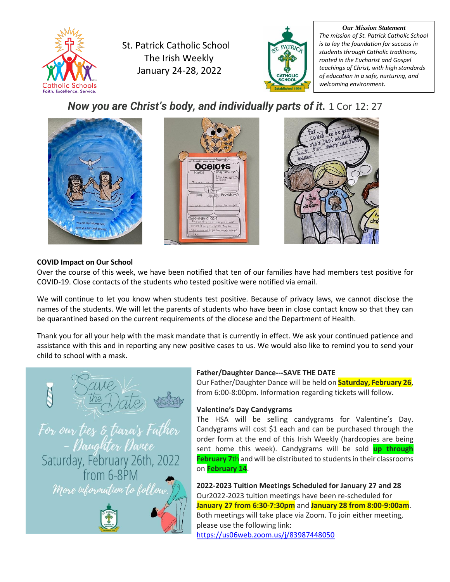

St. Patrick Catholic School The Irish Weekly January 24-28, 2022



*Our Mission Statement The mission of St. Patrick Catholic School is to lay the foundation for success in students through Catholic traditions, rooted in the Eucharist and Gospel teachings of Christ, with high standards of education in a safe, nurturing, and welcoming environment.*

*Now you are Christ's body, and individually parts of it.* 1 Cor 12: 27



# **COVID Impact on Our School**

Over the course of this week, we have been notified that ten of our families have had members test positive for COVID-19. Close contacts of the students who tested positive were notified via email.

We will continue to let you know when students test positive. Because of privacy laws, we cannot disclose the names of the students. We will let the parents of students who have been in close contact know so that they can be quarantined based on the current requirements of the diocese and the Department of Health.

Thank you for all your help with the mask mandate that is currently in effect. We ask your continued patience and assistance with this and in reporting any new positive cases to us. We would also like to remind you to send your child to school with a mask.



# **Father/Daughter Dance---SAVE THE DATE**

Our Father/Daughter Dance will be held on **Saturday, February 26**, from 6:00-8:00pm. Information regarding tickets will follow.

# **Valentine's Day Candygrams**

The HSA will be selling candygrams for Valentine's Day. Candygrams will cost \$1 each and can be purchased through the order form at the end of this Irish Weekly (hardcopies are being sent home this week). Candygrams will be sold **up through February 7**th and will be distributed to students in their classrooms on **February 14**.

**2022-2023 Tuition Meetings Scheduled for January 27 and 28** Our2022-2023 tuition meetings have been re-scheduled for **January 27 from 6:30-7:30pm** and **January 28 from 8:00-9:00am**. Both meetings will take place via Zoom. To join either meeting, please use the following link: <https://us06web.zoom.us/j/83987448050>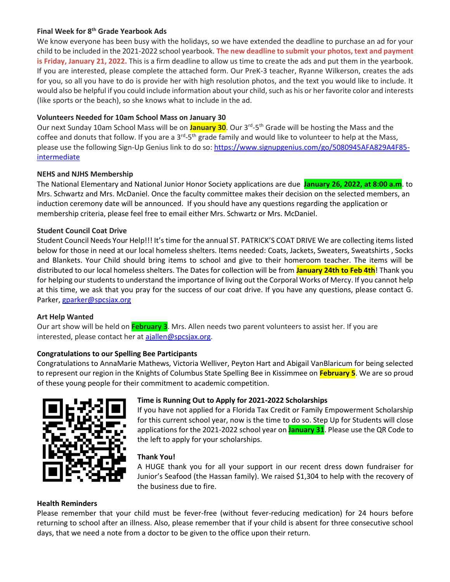#### **Final Week for 8th Grade Yearbook Ads**

We know everyone has been busy with the holidays, so we have extended the deadline to purchase an ad for your child to be included in the 2021-2022 school yearbook. **The new deadline to submit your photos, text and payment is Friday, January 21, 2022.** This is a firm deadline to allow us time to create the ads and put them in the yearbook. If you are interested, please complete the attached form. Our PreK-3 teacher, Ryanne Wilkerson, creates the ads for you, so all you have to do is provide her with high resolution photos, and the text you would like to include. It would also be helpful if you could include information about your child, such as his or her favorite color and interests (like sports or the beach), so she knows what to include in the ad.

## **Volunteers Needed for 10am School Mass on January 30**

Our next Sunday 10am School Mass will be on <mark>January 30</mark>. Our 3<sup>rd</sup>-5<sup>th</sup> Grade will be hosting the Mass and the coffee and donuts that follow. If you are a 3<sup>rd</sup>-5<sup>th</sup> grade family and would like to volunteer to help at the Mass, please use the following Sign-Up Genius link to do so[: https://www.signupgenius.com/go/5080945AFA829A4F85](https://www.signupgenius.com/go/5080945AFA829A4F85-intermediate) **[intermediate](https://www.signupgenius.com/go/5080945AFA829A4F85-intermediate)** 

## **NEHS and NJHS Membership**

The National Elementary and National Junior Honor Society applications are due **January 26, 2022, at 8:00 a.m**. to Mrs. Schwartz and Mrs. McDaniel. Once the faculty committee makes their decision on the selected members, an induction ceremony date will be announced. If you should have any questions regarding the application or membership criteria, please feel free to email either Mrs. Schwartz or Mrs. McDaniel.

## **Student Council Coat Drive**

Student Council Needs Your Help!!! It's time for the annual ST. PATRICK'S COAT DRIVE We are collecting items listed below for those in need at our local homeless shelters. Items needed: Coats, Jackets, Sweaters, Sweatshirts , Socks and Blankets. Your Child should bring items to school and give to their homeroom teacher. The items will be distributed to our local homeless shelters. The Dates for collection will be from **January 24th to Feb 4th**! Thank you for helping our students to understand the importance of living out the Corporal Works of Mercy. If you cannot help at this time, we ask that you pray for the success of our coat drive. If you have any questions, please contact G. Parker[, gparker@spcsjax.org](mailto:gparker@spcsjax.org)

#### **Art Help Wanted**

Our art show will be held on **February 3**. Mrs. Allen needs two parent volunteers to assist her. If you are interested, please contact her at [ajallen@spcsjax.org.](mailto:ajallen@spcsjax.org)

# **Congratulations to our Spelling Bee Participants**

Congratulations to AnnaMarie Mathews, Victoria Welliver, Peyton Hart and Abigail VanBlaricum for being selected to represent our region in the Knights of Columbus State Spelling Bee in Kissimmee on **February 5**. We are so proud of these young people for their commitment to academic competition.



# **Time is Running Out to Apply for 2021-2022 Scholarships**

If you have not applied for a Florida Tax Credit or Family Empowerment Scholarship for this current school year, now is the time to do so. Step Up for Students will close applications for the 2021-2022 school year on **January 31**. Please use the QR Code to the left to apply for your scholarships.

#### **Thank You!**

A HUGE thank you for all your support in our recent dress down fundraiser for Junior's Seafood (the Hassan family). We raised \$1,304 to help with the recovery of the business due to fire.

#### **Health Reminders**

Please remember that your child must be fever-free (without fever-reducing medication) for 24 hours before returning to school after an illness. Also, please remember that if your child is absent for three consecutive school days, that we need a note from a doctor to be given to the office upon their return.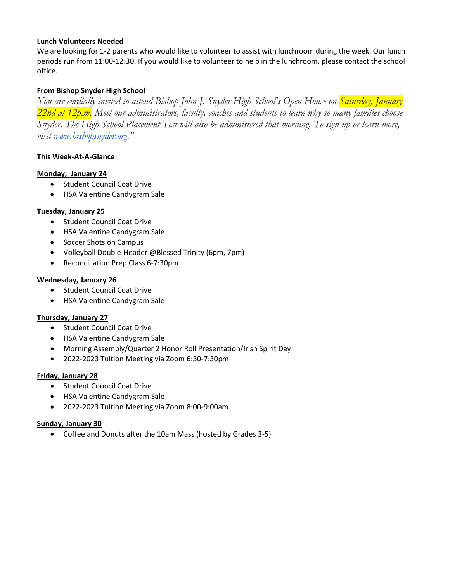#### **Lunch Volunteers Needed**

We are looking for 1-2 parents who would like to volunteer to assist with lunchroom during the week. Our lunch periods run from 11:00-12:30. If you would like to volunteer to help in the lunchroom, please contact the school office.

# **From Bishop Snyder High School**

*You are cordially invited to attend Bishop John J. Snyder High School's Open House on Saturday, January 22nd at 12p.m. Meet our administrators, faculty, coaches and students to learn why so many families choose Snyder. The High School Placement Test will also be administered that morning. To sign up or learn more, visit [www.bishopsnyder.org.](http://www.bishopsnyder.org/)"*

# **This Week-At-A-Glance**

## **Monday, January 24**

- Student Council Coat Drive
- HSA Valentine Candygram Sale

## **Tuesday, January 25**

- Student Council Coat Drive
- HSA Valentine Candygram Sale
- Soccer Shots on Campus
- Volleyball Double-Header @Blessed Trinity (6pm, 7pm)
- Reconciliation Prep Class 6-7:30pm

## **Wednesday, January 26**

- Student Council Coat Drive
- HSA Valentine Candygram Sale

# **Thursday, January 27**

- Student Council Coat Drive
- HSA Valentine Candygram Sale
- Morning Assembly/Quarter 2 Honor Roll Presentation/Irish Spirit Day
- 2022-2023 Tuition Meeting via Zoom 6:30-7:30pm

#### **Friday, January 28**

- Student Council Coat Drive
- HSA Valentine Candygram Sale
- 2022-2023 Tuition Meeting via Zoom 8:00-9:00am

#### **Sunday, January 30**

• Coffee and Donuts after the 10am Mass (hosted by Grades 3-5)